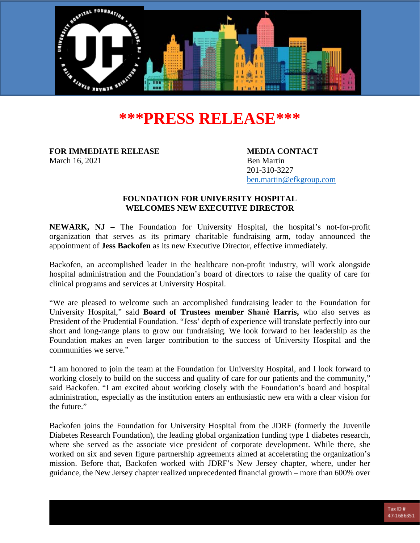

# **\*\*\*PRESS RELEASE\*\*\***

**FOR IMMEDIATE RELEASE MEDIA CONTACT** March 16, 2021 Ben Martin

201-310-3227 [ben.martin@efkgroup.com](mailto:ben.martin@efkgroup.com)

## **FOUNDATION FOR UNIVERSITY HOSPITAL WELCOMES NEW EXECUTIVE DIRECTOR**

**NEWARK, NJ –** The Foundation for University Hospital, the hospital's not-for-profit organization that serves as its primary charitable fundraising arm, today announced the appointment of **Jess Backofen** as its new Executive Director, effective immediately.

Backofen, an accomplished leader in the healthcare non-profit industry, will work alongside hospital administration and the Foundation's board of directors to raise the quality of care for clinical programs and services at University Hospital.

"We are pleased to welcome such an accomplished fundraising leader to the Foundation for University Hospital," said **Board of Trustees member Shanѐ Harris,** who also serves as President of the Prudential Foundation. "Jess' depth of experience will translate perfectly into our short and long-range plans to grow our fundraising. We look forward to her leadership as the Foundation makes an even larger contribution to the success of University Hospital and the communities we serve."

"I am honored to join the team at the Foundation for University Hospital, and I look forward to working closely to build on the success and quality of care for our patients and the community," said Backofen. "I am excited about working closely with the Foundation's board and hospital administration, especially as the institution enters an enthusiastic new era with a clear vision for the future."

Backofen joins the Foundation for University Hospital from the JDRF (formerly the Juvenile Diabetes Research Foundation), the leading global organization funding type 1 diabetes research, where she served as the associate vice president of corporate development. While there, she worked on six and seven figure partnership agreements aimed at accelerating the organization's mission. Before that, Backofen worked with JDRF's New Jersey chapter, where, under her guidance, the New Jersey chapter realized unprecedented financial growth – more than 600% over